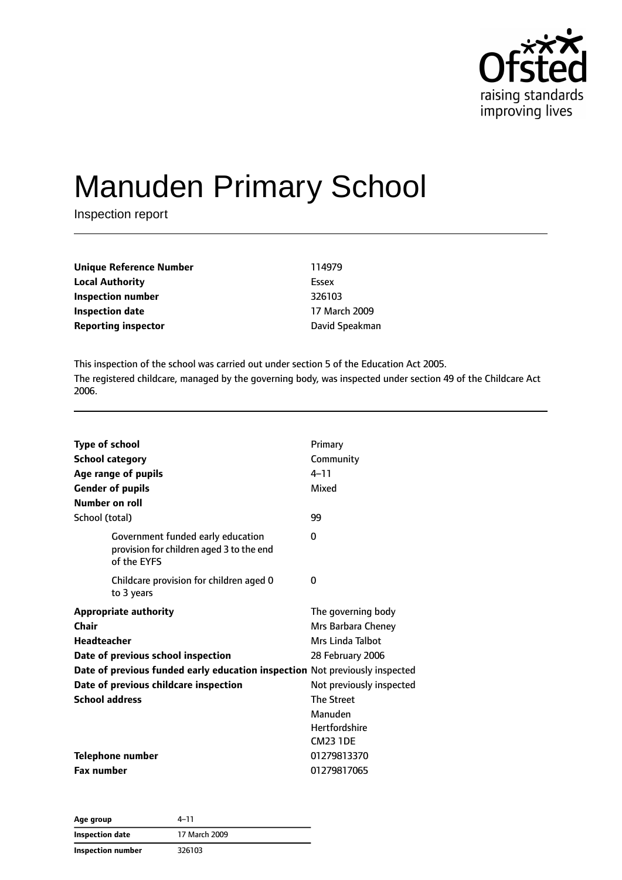

# Manuden Primary School

Inspection report

| <b>Unique Reference Number</b> | 114979         |
|--------------------------------|----------------|
| <b>Local Authority</b>         | Essex          |
| Inspection number              | 326103         |
| Inspection date                | 17 March 2009  |
| <b>Reporting inspector</b>     | David Speakman |

This inspection of the school was carried out under section 5 of the Education Act 2005. The registered childcare, managed by the governing body, was inspected under section 49 of the Childcare Act 2006.

| <b>Type of school</b><br><b>School category</b>                                              | Primary<br>Community     |
|----------------------------------------------------------------------------------------------|--------------------------|
| Age range of pupils                                                                          | $4 - 11$                 |
| <b>Gender of pupils</b>                                                                      | Mixed                    |
| Number on roll                                                                               |                          |
| School (total)                                                                               | 99                       |
| Government funded early education<br>provision for children aged 3 to the end<br>of the EYFS | 0                        |
| Childcare provision for children aged 0<br>to 3 years                                        | 0                        |
| <b>Appropriate authority</b>                                                                 | The governing body       |
| Chair                                                                                        | Mrs Barbara Cheney       |
| <b>Headteacher</b>                                                                           | Mrs Linda Talbot         |
| Date of previous school inspection                                                           | 28 February 2006         |
| Date of previous funded early education inspection Not previously inspected                  |                          |
| Date of previous childcare inspection                                                        | Not previously inspected |
| <b>School address</b>                                                                        | <b>The Street</b>        |
|                                                                                              | Manuden                  |
|                                                                                              | Hertfordshire            |
|                                                                                              | <b>CM23 1DE</b>          |
| <b>Telephone number</b>                                                                      | 01279813370              |
| <b>Fax number</b>                                                                            | 01279817065              |

| Age group                | 4–11          |  |
|--------------------------|---------------|--|
| <b>Inspection date</b>   | 17 March 2009 |  |
| <b>Inspection number</b> | 326103        |  |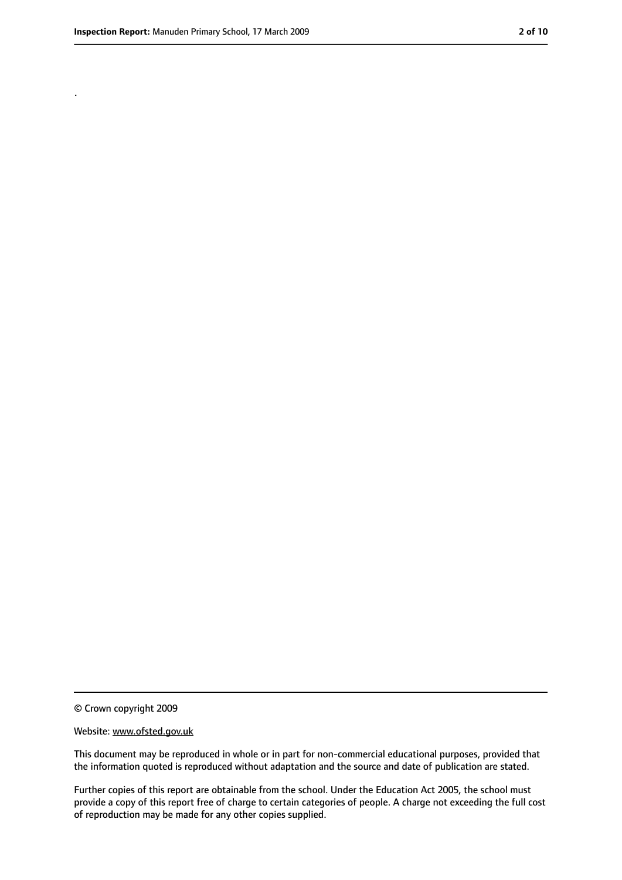.

<sup>©</sup> Crown copyright 2009

Website: www.ofsted.gov.uk

This document may be reproduced in whole or in part for non-commercial educational purposes, provided that the information quoted is reproduced without adaptation and the source and date of publication are stated.

Further copies of this report are obtainable from the school. Under the Education Act 2005, the school must provide a copy of this report free of charge to certain categories of people. A charge not exceeding the full cost of reproduction may be made for any other copies supplied.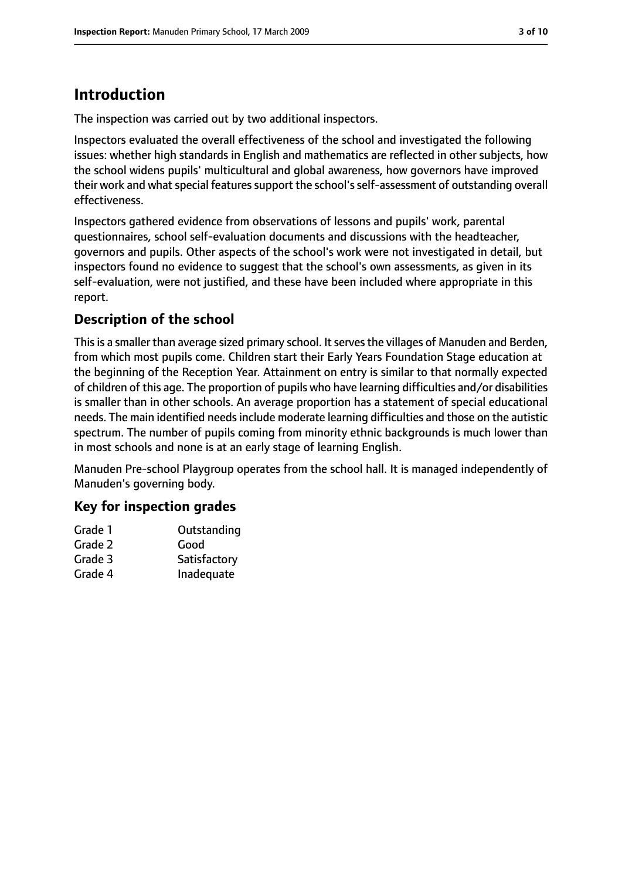# **Introduction**

The inspection was carried out by two additional inspectors.

Inspectors evaluated the overall effectiveness of the school and investigated the following issues: whether high standards in English and mathematics are reflected in other subjects, how the school widens pupils' multicultural and global awareness, how governors have improved their work and what special features support the school's self-assessment of outstanding overall effectiveness.

Inspectors gathered evidence from observations of lessons and pupils' work, parental questionnaires, school self-evaluation documents and discussions with the headteacher, governors and pupils. Other aspects of the school's work were not investigated in detail, but inspectors found no evidence to suggest that the school's own assessments, as given in its self-evaluation, were not justified, and these have been included where appropriate in this report.

# **Description of the school**

This is a smaller than average sized primary school. It serves the villages of Manuden and Berden, from which most pupils come. Children start their Early Years Foundation Stage education at the beginning of the Reception Year. Attainment on entry is similar to that normally expected of children of this age. The proportion of pupils who have learning difficulties and/or disabilities is smaller than in other schools. An average proportion has a statement of special educational needs. The main identified needs include moderate learning difficulties and those on the autistic spectrum. The number of pupils coming from minority ethnic backgrounds is much lower than in most schools and none is at an early stage of learning English.

Manuden Pre-school Playgroup operates from the school hall. It is managed independently of Manuden's governing body.

## **Key for inspection grades**

| Grade 1 | Outstanding  |
|---------|--------------|
| Grade 2 | Good         |
| Grade 3 | Satisfactory |
| Grade 4 | Inadequate   |
|         |              |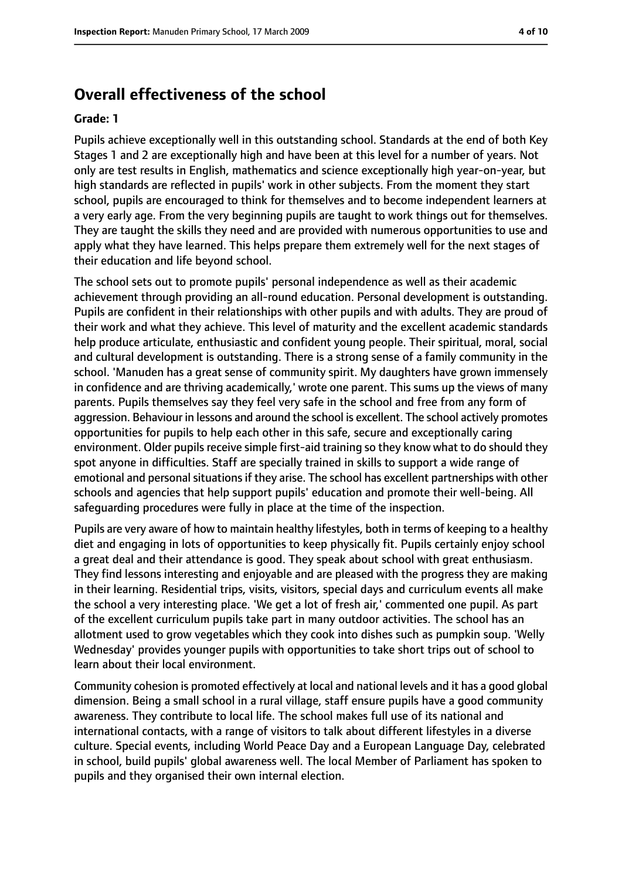# **Overall effectiveness of the school**

#### **Grade: 1**

Pupils achieve exceptionally well in this outstanding school. Standards at the end of both Key Stages 1 and 2 are exceptionally high and have been at this level for a number of years. Not only are test results in English, mathematics and science exceptionally high year-on-year, but high standards are reflected in pupils' work in other subjects. From the moment they start school, pupils are encouraged to think for themselves and to become independent learners at a very early age. From the very beginning pupils are taught to work things out for themselves. They are taught the skills they need and are provided with numerous opportunities to use and apply what they have learned. This helps prepare them extremely well for the next stages of their education and life beyond school.

The school sets out to promote pupils' personal independence as well as their academic achievement through providing an all-round education. Personal development is outstanding. Pupils are confident in their relationships with other pupils and with adults. They are proud of their work and what they achieve. This level of maturity and the excellent academic standards help produce articulate, enthusiastic and confident young people. Their spiritual, moral, social and cultural development is outstanding. There is a strong sense of a family community in the school. 'Manuden has a great sense of community spirit. My daughters have grown immensely in confidence and are thriving academically,' wrote one parent. This sums up the views of many parents. Pupils themselves say they feel very safe in the school and free from any form of aggression. Behaviour in lessons and around the school is excellent. The school actively promotes opportunities for pupils to help each other in this safe, secure and exceptionally caring environment. Older pupils receive simple first-aid training so they know what to do should they spot anyone in difficulties. Staff are specially trained in skills to support a wide range of emotional and personal situations if they arise. The school has excellent partnerships with other schools and agencies that help support pupils' education and promote their well-being. All safeguarding procedures were fully in place at the time of the inspection.

Pupils are very aware of how to maintain healthy lifestyles, both in terms of keeping to a healthy diet and engaging in lots of opportunities to keep physically fit. Pupils certainly enjoy school a great deal and their attendance is good. They speak about school with great enthusiasm. They find lessons interesting and enjoyable and are pleased with the progress they are making in their learning. Residential trips, visits, visitors, special days and curriculum events all make the school a very interesting place. 'We get a lot of fresh air,' commented one pupil. As part of the excellent curriculum pupils take part in many outdoor activities. The school has an allotment used to grow vegetables which they cook into dishes such as pumpkin soup. 'Welly Wednesday' provides younger pupils with opportunities to take short trips out of school to learn about their local environment.

Community cohesion is promoted effectively at local and national levels and it has a good global dimension. Being a small school in a rural village, staff ensure pupils have a good community awareness. They contribute to local life. The school makes full use of its national and international contacts, with a range of visitors to talk about different lifestyles in a diverse culture. Special events, including World Peace Day and a European Language Day, celebrated in school, build pupils' global awareness well. The local Member of Parliament has spoken to pupils and they organised their own internal election.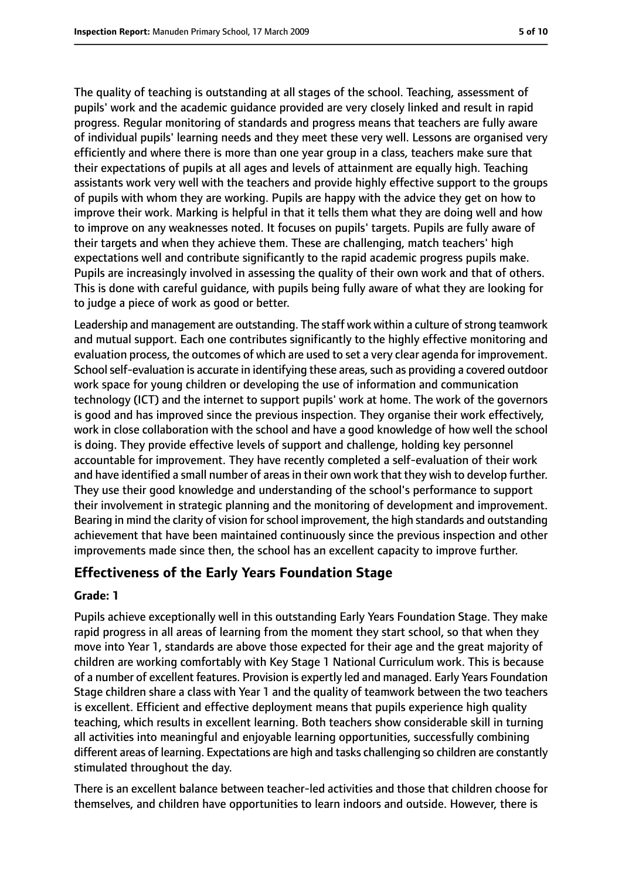The quality of teaching is outstanding at all stages of the school. Teaching, assessment of pupils' work and the academic guidance provided are very closely linked and result in rapid progress. Regular monitoring of standards and progress means that teachers are fully aware of individual pupils' learning needs and they meet these very well. Lessons are organised very efficiently and where there is more than one year group in a class, teachers make sure that their expectations of pupils at all ages and levels of attainment are equally high. Teaching assistants work very well with the teachers and provide highly effective support to the groups of pupils with whom they are working. Pupils are happy with the advice they get on how to improve their work. Marking is helpful in that it tells them what they are doing well and how to improve on any weaknesses noted. It focuses on pupils' targets. Pupils are fully aware of their targets and when they achieve them. These are challenging, match teachers' high expectations well and contribute significantly to the rapid academic progress pupils make. Pupils are increasingly involved in assessing the quality of their own work and that of others. This is done with careful guidance, with pupils being fully aware of what they are looking for to judge a piece of work as good or better.

Leadership and management are outstanding. The staff work within a culture of strong teamwork and mutual support. Each one contributes significantly to the highly effective monitoring and evaluation process, the outcomes of which are used to set a very clear agenda for improvement. School self-evaluation is accurate in identifying these areas, such as providing a covered outdoor work space for young children or developing the use of information and communication technology (ICT) and the internet to support pupils' work at home. The work of the governors is good and has improved since the previous inspection. They organise their work effectively, work in close collaboration with the school and have a good knowledge of how well the school is doing. They provide effective levels of support and challenge, holding key personnel accountable for improvement. They have recently completed a self-evaluation of their work and have identified a small number of areas in their own work that they wish to develop further. They use their good knowledge and understanding of the school's performance to support their involvement in strategic planning and the monitoring of development and improvement. Bearing in mind the clarity of vision for school improvement, the high standards and outstanding achievement that have been maintained continuously since the previous inspection and other improvements made since then, the school has an excellent capacity to improve further.

#### **Effectiveness of the Early Years Foundation Stage**

#### **Grade: 1**

Pupils achieve exceptionally well in this outstanding Early Years Foundation Stage. They make rapid progress in all areas of learning from the moment they start school, so that when they move into Year 1, standards are above those expected for their age and the great majority of children are working comfortably with Key Stage 1 National Curriculum work. This is because of a number of excellent features. Provision is expertly led and managed. Early Years Foundation Stage children share a class with Year 1 and the quality of teamwork between the two teachers is excellent. Efficient and effective deployment means that pupils experience high quality teaching, which results in excellent learning. Both teachers show considerable skill in turning all activities into meaningful and enjoyable learning opportunities, successfully combining different areas of learning. Expectations are high and tasks challenging so children are constantly stimulated throughout the day.

There is an excellent balance between teacher-led activities and those that children choose for themselves, and children have opportunities to learn indoors and outside. However, there is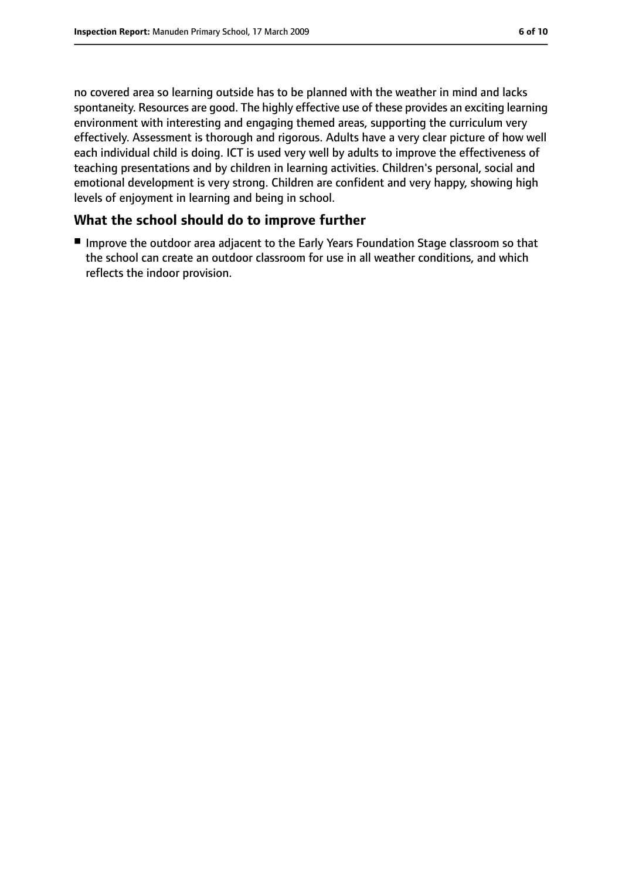no covered area so learning outside has to be planned with the weather in mind and lacks spontaneity. Resources are good. The highly effective use of these provides an exciting learning environment with interesting and engaging themed areas, supporting the curriculum very effectively. Assessment is thorough and rigorous. Adults have a very clear picture of how well each individual child is doing. ICT is used very well by adults to improve the effectiveness of teaching presentations and by children in learning activities. Children's personal, social and emotional development is very strong. Children are confident and very happy, showing high levels of enjoyment in learning and being in school.

## **What the school should do to improve further**

■ Improve the outdoor area adjacent to the Early Years Foundation Stage classroom so that the school can create an outdoor classroom for use in all weather conditions, and which reflects the indoor provision.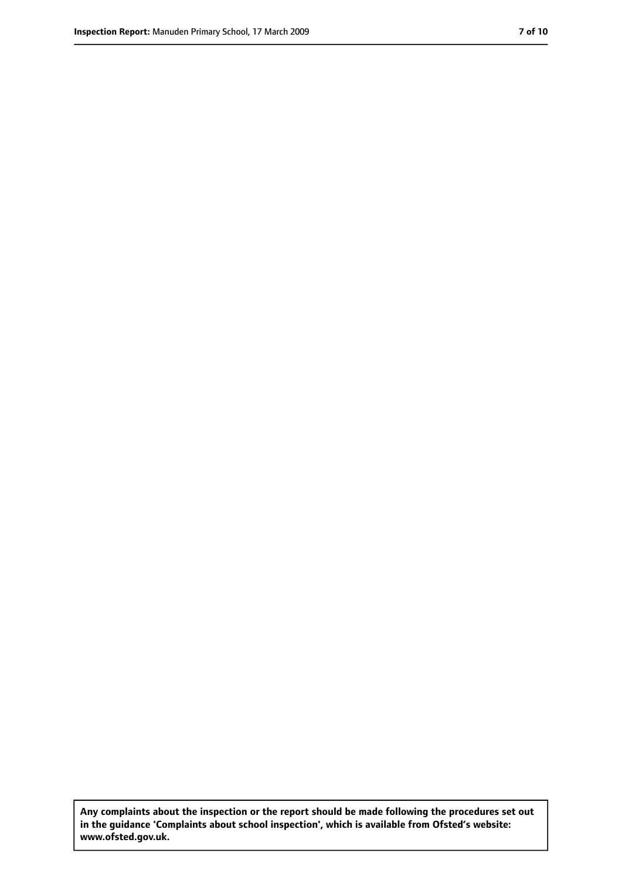**Any complaints about the inspection or the report should be made following the procedures set out in the guidance 'Complaints about school inspection', which is available from Ofsted's website: www.ofsted.gov.uk.**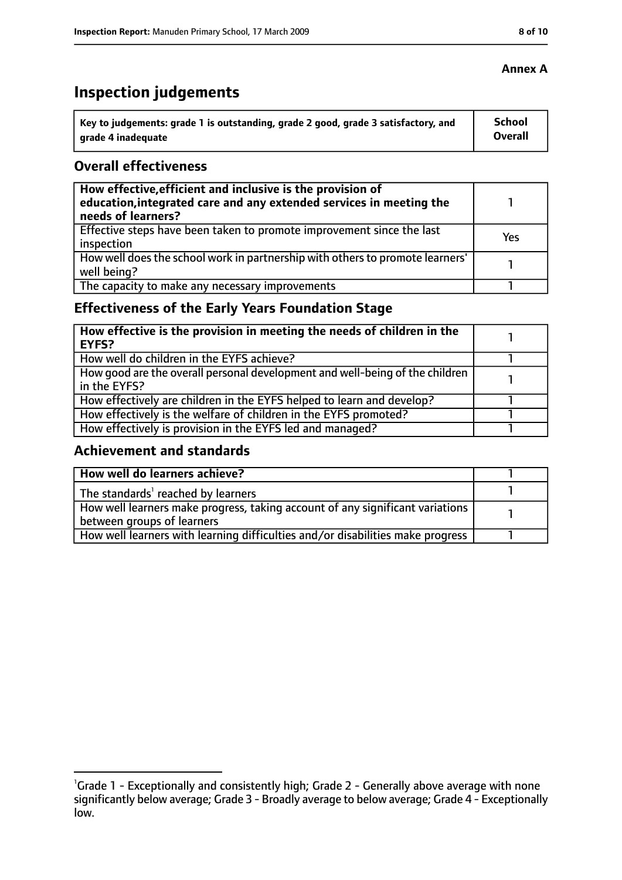# **Inspection judgements**

| \ Key to judgements: grade 1 is outstanding, grade 2 good, grade 3 satisfactory, and | <b>School</b>  |
|--------------------------------------------------------------------------------------|----------------|
| arade 4 inadequate                                                                   | <b>Overall</b> |

#### **Overall effectiveness**

| How effective, efficient and inclusive is the provision of<br>education, integrated care and any extended services in meeting the<br>needs of learners? |     |
|---------------------------------------------------------------------------------------------------------------------------------------------------------|-----|
| Effective steps have been taken to promote improvement since the last<br>inspection                                                                     | Yes |
| How well does the school work in partnership with others to promote learners'<br>well being?                                                            |     |
| The capacity to make any necessary improvements                                                                                                         |     |

# **Effectiveness of the Early Years Foundation Stage**

| How effective is the provision in meeting the needs of children in the<br>l EYFS?            |  |
|----------------------------------------------------------------------------------------------|--|
| How well do children in the EYFS achieve?                                                    |  |
| How good are the overall personal development and well-being of the children<br>in the EYFS? |  |
| How effectively are children in the EYFS helped to learn and develop?                        |  |
| How effectively is the welfare of children in the EYFS promoted?                             |  |
| How effectively is provision in the EYFS led and managed?                                    |  |

#### **Achievement and standards**

| How well do learners achieve?                                                  |  |
|--------------------------------------------------------------------------------|--|
| The standards <sup>1</sup> reached by learners                                 |  |
| How well learners make progress, taking account of any significant variations  |  |
| between groups of learners                                                     |  |
| How well learners with learning difficulties and/or disabilities make progress |  |

## **Annex A**

<sup>&</sup>lt;sup>1</sup>Grade 1 - Exceptionally and consistently high; Grade 2 - Generally above average with none significantly below average; Grade 3 - Broadly average to below average; Grade 4 - Exceptionally low.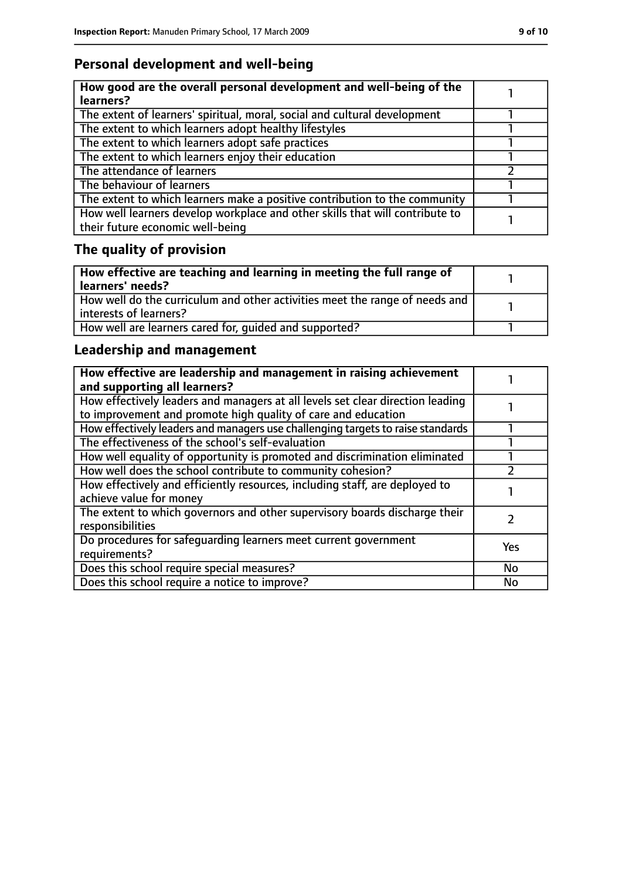# **Personal development and well-being**

| How good are the overall personal development and well-being of the<br>learners?                                 |  |
|------------------------------------------------------------------------------------------------------------------|--|
| The extent of learners' spiritual, moral, social and cultural development                                        |  |
| The extent to which learners adopt healthy lifestyles                                                            |  |
| The extent to which learners adopt safe practices                                                                |  |
| The extent to which learners enjoy their education                                                               |  |
| The attendance of learners                                                                                       |  |
| The behaviour of learners                                                                                        |  |
| The extent to which learners make a positive contribution to the community                                       |  |
| How well learners develop workplace and other skills that will contribute to<br>their future economic well-being |  |

# **The quality of provision**

| How effective are teaching and learning in meeting the full range of<br>learners' needs?              |  |
|-------------------------------------------------------------------------------------------------------|--|
| How well do the curriculum and other activities meet the range of needs and<br>interests of learners? |  |
| How well are learners cared for, quided and supported?                                                |  |

# **Leadership and management**

| How effective are leadership and management in raising achievement<br>and supporting all learners?                                              |           |
|-------------------------------------------------------------------------------------------------------------------------------------------------|-----------|
| How effectively leaders and managers at all levels set clear direction leading<br>to improvement and promote high quality of care and education |           |
| How effectively leaders and managers use challenging targets to raise standards                                                                 |           |
| The effectiveness of the school's self-evaluation                                                                                               |           |
| How well equality of opportunity is promoted and discrimination eliminated                                                                      |           |
| How well does the school contribute to community cohesion?                                                                                      |           |
| How effectively and efficiently resources, including staff, are deployed to<br>achieve value for money                                          |           |
| The extent to which governors and other supervisory boards discharge their<br>responsibilities                                                  |           |
| Do procedures for safequarding learners meet current government<br>requirements?                                                                | Yes       |
| Does this school require special measures?                                                                                                      | <b>No</b> |
| Does this school require a notice to improve?                                                                                                   | <b>No</b> |